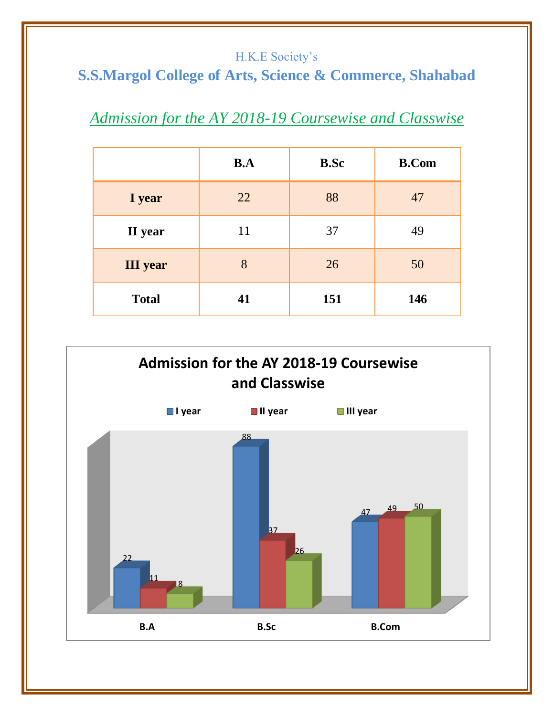#### H.K.E Society's

# **S.S.Margol College of Arts, Science & Commerce, Shahabad**

# *Admission for the AY 2018-19 Coursewise and Classwise*

|                 | B.A | <b>B.Sc</b> | <b>B.Com</b> |
|-----------------|-----|-------------|--------------|
| I year          | 22  | 88          | 47           |
| II year         | 11  | 37          | 49           |
| <b>III</b> year | 8   | 26          | 50           |
| <b>Total</b>    | 41  | 151         | 146          |

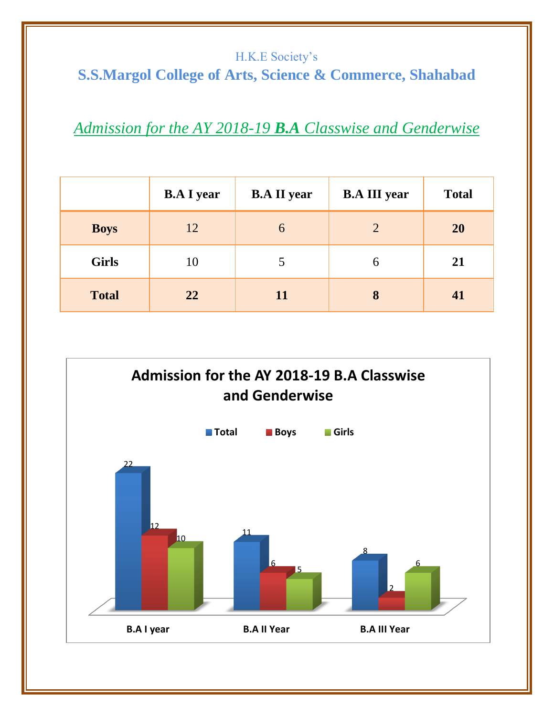#### H.K.E Society's **S.S.Margol College of Arts, Science & Commerce, Shahabad**

### *Admission for the AY 2018-19 B.A Classwise and Genderwise*

|              | <b>B.A I year</b> | <b>B.A II year</b> | <b>B.A III year</b> | <b>Total</b> |
|--------------|-------------------|--------------------|---------------------|--------------|
| <b>Boys</b>  | 12                | 6                  | $\overline{2}$      | 20           |
| <b>Girls</b> | 10                |                    | 6                   | 21           |
| <b>Total</b> | 22                | <b>11</b>          | 8                   | 41           |

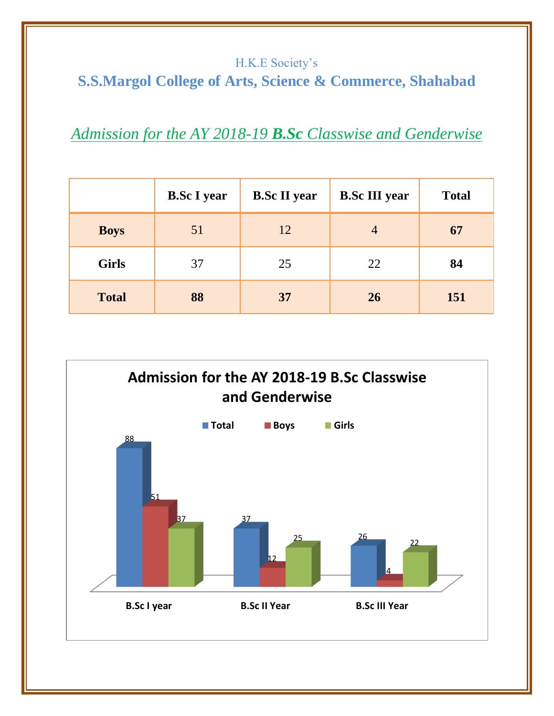### H.K.E Society's **S.S.Margol College of Arts, Science & Commerce, Shahabad**

### *Admission for the AY 2018-19 B.Sc Classwise and Genderwise*

|              | <b>B.Sc I year</b> | <b>B.Sc II year</b> | <b>B.Sc III year</b> | <b>Total</b> |
|--------------|--------------------|---------------------|----------------------|--------------|
| <b>Boys</b>  | 51                 | 12                  | $\overline{4}$       | 67           |
| <b>Girls</b> | 37                 | 25                  | 22                   | 84           |
| <b>Total</b> | 88                 | 37                  | 26                   | 151          |